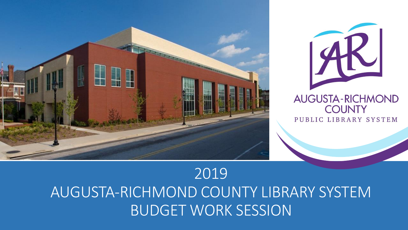



# 2019 AUGUSTA-RICHMOND COUNTY LIBRARY SYSTEM BUDGET WORK SESSION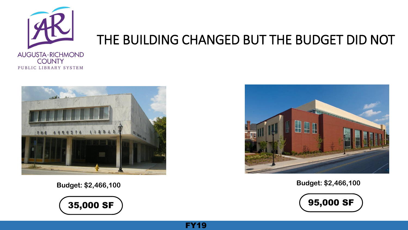

## THE BUILDING CHANGED BUT THE BUDGET DID NOT

FY19





**Budget: \$2,466,100**



**Budget: \$2,466,100**

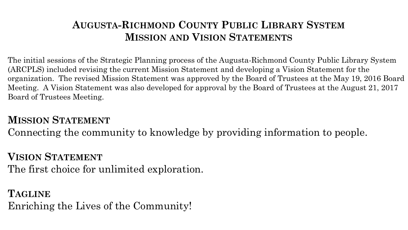## **AUGUSTA-RICHMOND COUNTY PUBLIC LIBRARY SYSTEM MISSION AND VISION STATEMENTS**

The initial sessions of the Strategic Planning process of the Augusta-Richmond County Public Library System (ARCPLS) included revising the current Mission Statement and developing a Vision Statement for the organization. The revised Mission Statement was approved by the Board of Trustees at the May 19, 2016 Board Meeting. A Vision Statement was also developed for approval by the Board of Trustees at the August 21, 2017 Board of Trustees Meeting.

## **MISSION STATEMENT**

Connecting the community to knowledge by providing information to people.

## **VISION STATEMENT**

The first choice for unlimited exploration.

## **TAGLINE** Enriching the Lives of the Community!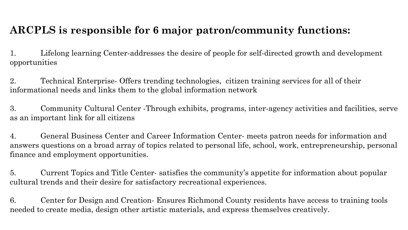## **ARCPLS is responsible for 6 major patron/community functions:**

1. Lifelong learning Center-addresses the desire of people for self-directed growth and development opportunities

2. Technical Enterprise- Offers trending technologies, citizen training services for all of their informational needs and links them to the global information network

3. Community Cultural Center -Through exhibits, programs, inter-agency activities and facilities, serve as an important link for all citizens

4. General Business Center and Career Information Center- meets patron needs for information and answers questions on a broad array of topics related to personal life, school, work, entrepreneurship, personal finance and employment opportunities.

5. Current Topics and Title Center- satisfies the community's appetite for information about popular cultural trends and their desire for satisfactory recreational experiences.

6. Center for Design and Creation- Ensures Richmond County residents have access to training tools needed to create media, design other artistic materials, and express themselves creatively.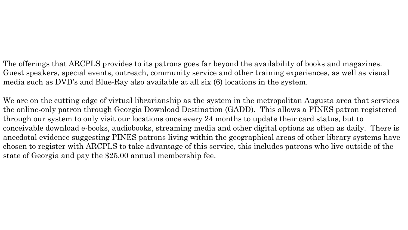The offerings that ARCPLS provides to its patrons goes far beyond the availability of books and magazines. Guest speakers, special events, outreach, community service and other training experiences, as well as visual media such as DVD's and Blue-Ray also available at all six (6) locations in the system.

We are on the cutting edge of virtual librarianship as the system in the metropolitan Augusta area that services the online-only patron through Georgia Download Destination (GADD). This allows a PINES patron registered through our system to only visit our locations once every 24 months to update their card status, but to conceivable download e-books, audiobooks, streaming media and other digital options as often as daily. There is anecdotal evidence suggesting PINES patrons living within the geographical areas of other library systems have chosen to register with ARCPLS to take advantage of this service, this includes patrons who live outside of the state of Georgia and pay the \$25.00 annual membership fee.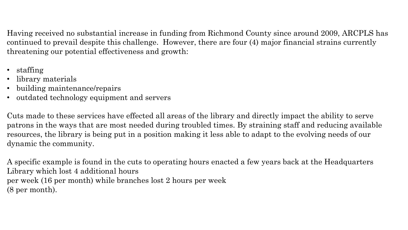Having received no substantial increase in funding from Richmond County since around 2009, ARCPLS has continued to prevail despite this challenge. However, there are four (4) major financial strains currently threatening our potential effectiveness and growth:

- staffing
- library materials
- building maintenance/repairs
- outdated technology equipment and servers

Cuts made to these services have effected all areas of the library and directly impact the ability to serve patrons in the ways that are most needed during troubled times. By straining staff and reducing available resources, the library is being put in a position making it less able to adapt to the evolving needs of our dynamic the community.

A specific example is found in the cuts to operating hours enacted a few years back at the Headquarters Library which lost 4 additional hours per week (16 per month) while branches lost 2 hours per week (8 per month).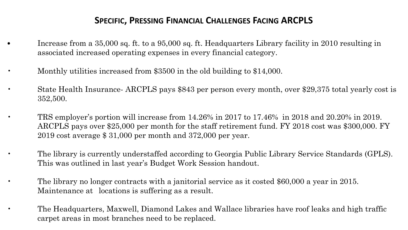#### **SPECIFIC, PRESSING FINANCIAL CHALLENGES FACING ARCPLS**

• Increase from a 35,000 sq. ft. to a 95,000 sq. ft. Headquarters Library facility in 2010 resulting in associated increased operating expenses in every financial category.

• Monthly utilities increased from \$3500 in the old building to \$14,000.

- State Health Insurance- ARCPLS pays \$843 per person every month, over \$29,375 total yearly cost is 352,500.
- TRS employer's portion will increase from 14.26% in 2017 to 17.46% in 2018 and 20.20% in 2019. ARCPLS pays over \$25,000 per month for the staff retirement fund. FY 2018 cost was \$300,000. FY 2019 cost average \$ 31,000 per month and 372,000 per year.

• The library is currently understaffed according to Georgia Public Library Service Standards (GPLS). This was outlined in last year's Budget Work Session handout.

• The library no longer contracts with a janitorial service as it costed \$60,000 a year in 2015. Maintenance at locations is suffering as a result.

• The Headquarters, Maxwell, Diamond Lakes and Wallace libraries have roof leaks and high traffic carpet areas in most branches need to be replaced.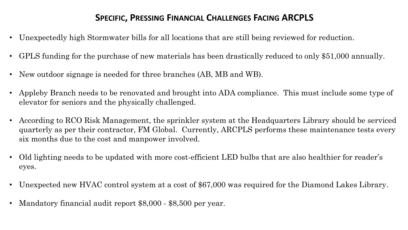#### **SPECIFIC, PRESSING FINANCIAL CHALLENGES FACING ARCPLS**

- Unexpectedly high Stormwater bills for all locations that are still being reviewed for reduction.
- GPLS funding for the purchase of new materials has been drastically reduced to only \$51,000 annually.
- New outdoor signage is needed for three branches (AB, MB and WB).
- Appleby Branch needs to be renovated and brought into ADA compliance. This must include some type of elevator for seniors and the physically challenged.
- According to RCO Risk Management, the sprinkler system at the Headquarters Library should be serviced quarterly as per their contractor, FM Global. Currently, ARCPLS performs these maintenance tests every six months due to the cost and manpower involved.
- Old lighting needs to be updated with more cost-efficient LED bulbs that are also healthier for reader's eyes.
- Unexpected new HVAC control system at a cost of \$67,000 was required for the Diamond Lakes Library.
- Mandatory financial audit report \$8,000 \$8,500 per year.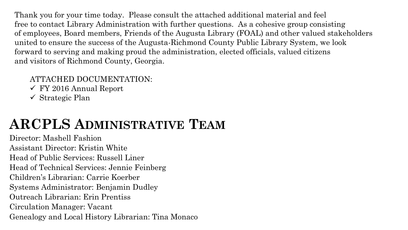Thank you for your time today. Please consult the attached additional material and feel free to contact Library Administration with further questions. As a cohesive group consisting of employees, Board members, Friends of the Augusta Library (FOAL) and other valued stakeholders united to ensure the success of the Augusta-Richmond County Public Library System, we look forward to serving and making proud the administration, elected officials, valued citizens and visitors of Richmond County, Georgia.

#### ATTACHED DOCUMENTATION:

- FY 2016 Annual Report
- $\checkmark$  Strategic Plan

# **ARCPLS ADMINISTRATIVE TEAM**

Director: Mashell Fashion Assistant Director: Kristin White Head of Public Services: Russell Liner Head of Technical Services: Jennie Feinberg Children's Librarian: Carrie Koerber Systems Administrator: Benjamin Dudley Outreach Librarian: Erin Prentiss Circulation Manager: Vacant Genealogy and Local History Librarian: Tina Monaco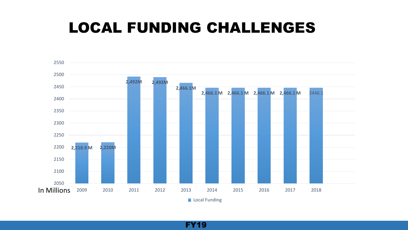# LOCAL FUNDING CHALLENGES



FY19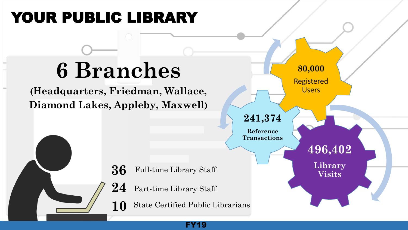# YOUR PUBLIC LIBRARY

# **6 Branches**

**(Headquarters, Friedman, Wallace, Diamond Lakes, Appleby, Maxwell)**

> Full-time Library Staff **36** 24 Part-time Library Staff

State Certified Public Librarians **10**



FY19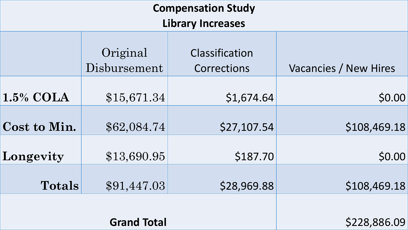| <b>Compensation Study</b> |                          |                               |                       |
|---------------------------|--------------------------|-------------------------------|-----------------------|
| <b>Library Increases</b>  |                          |                               |                       |
|                           | Original<br>Disbursement | Classification<br>Corrections | Vacancies / New Hires |
| $1.5\%$ COLA              | \$15,671.34              | \$1,674.64                    | \$0.00                |
| Cost to Min.              | \$62,084.74              | \$27,107.54                   | \$108,469.18          |
| Longevity                 | \$13,690.95              | \$187.70                      | \$0.00                |
| <b>Totals</b>             | \$91,447.03              | \$28,969.88                   | \$108,469.18          |
| <b>Grand Total</b>        |                          |                               | \$228,886.09          |